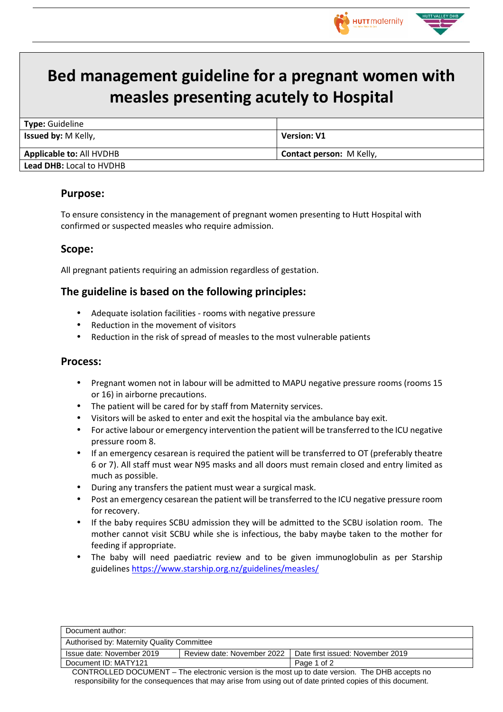

# **Bed management guideline for a pregnant women with measles presenting acutely to Hospital**

| Type: Guideline                 |                                 |  |
|---------------------------------|---------------------------------|--|
| <b>Issued by: M Kelly,</b>      | <b>Version: V1</b>              |  |
| <b>Applicable to: All HVDHB</b> | <b>Contact person: M Kelly,</b> |  |
| <b>Lead DHB: Local to HVDHB</b> |                                 |  |
|                                 |                                 |  |

## **Purpose:**

To ensure consistency in the management of pregnant women presenting to Hutt Hospital with confirmed or suspected measles who require admission.

#### **Scope:**

All pregnant patients requiring an admission regardless of gestation.

## **The guideline is based on the following principles:**

- Adequate isolation facilities rooms with negative pressure
- Reduction in the movement of visitors
- Reduction in the risk of spread of measles to the most vulnerable patients

#### **Process:**

- Pregnant women not in labour will be admitted to MAPU negative pressure rooms (rooms 15 or 16) in airborne precautions.
- The patient will be cared for by staff from Maternity services.
- Visitors will be asked to enter and exit the hospital via the ambulance bay exit.
- For active labour or emergency intervention the patient will be transferred to the ICU negative pressure room 8.
- If an emergency cesarean is required the patient will be transferred to OT (preferably theatre 6 or 7). All staff must wear N95 masks and all doors must remain closed and entry limited as much as possible.
- During any transfers the patient must wear a surgical mask.
- Post an emergency cesarean the patient will be transferred to the ICU negative pressure room for recovery.
- If the baby requires SCBU admission they will be admitted to the SCBU isolation room. The mother cannot visit SCBU while she is infectious, the baby maybe taken to the mother for feeding if appropriate.
- The baby will need paediatric review and to be given immunoglobulin as per Starship guidelines https://www.starship.org.nz/guidelines/measles/

|                                                                                                 | Document author:          |                                            |                                  |  |
|-------------------------------------------------------------------------------------------------|---------------------------|--------------------------------------------|----------------------------------|--|
|                                                                                                 |                           | Authorised by: Maternity Quality Committee |                                  |  |
|                                                                                                 | Issue date: November 2019 | Review date: November 2022                 | Date first issued: November 2019 |  |
|                                                                                                 | Document ID: MATY121      |                                            | Page 1 of 2                      |  |
| CONTROLLED DOCUMENT – The electronic version is the most up to date version. The DHB accepts no |                           |                                            |                                  |  |

responsibility for the consequences that may arise from using out of date printed copies of this document.